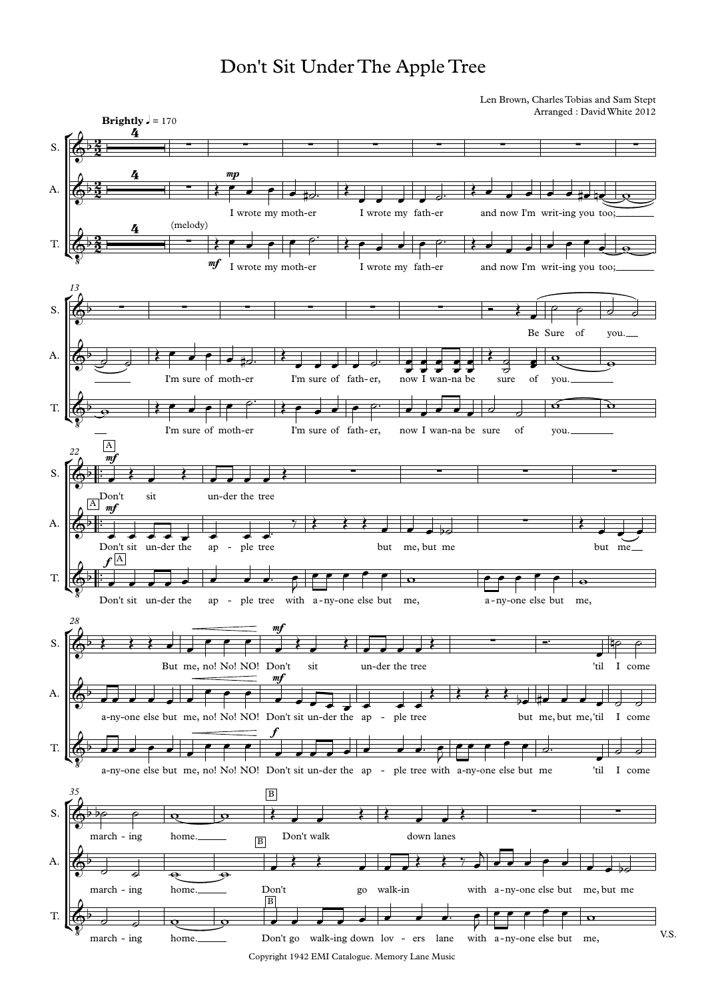## Don't Sit Under The Apple Tree

Len Brown, Charles Tobias and Sam Stept Arranged : DavidWhite 2012



Copyright 1942 EMI Catalogue. Memory Lane Music